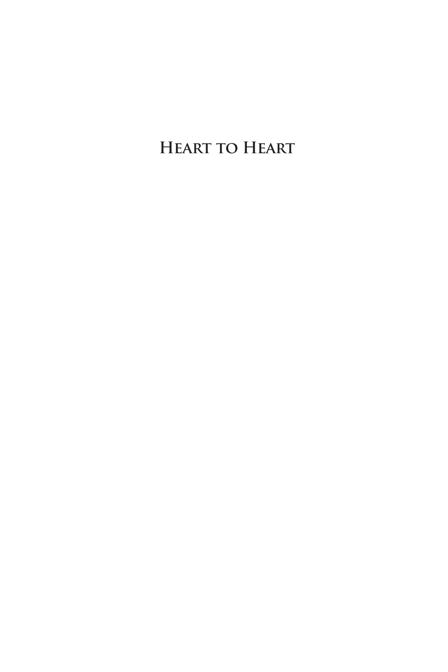**Heart to Heart**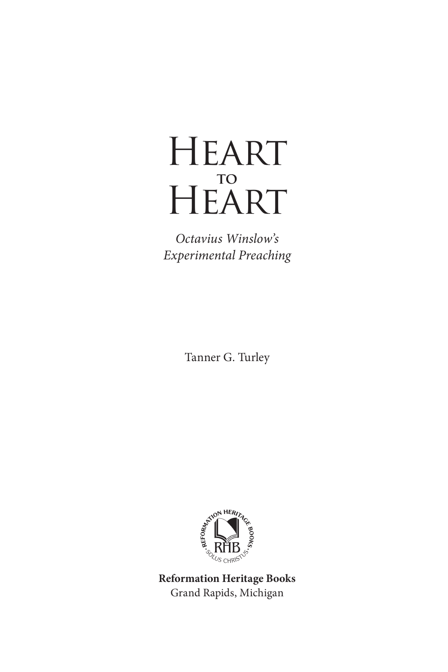# **HEART to HEART**

*Octavius Winslow's Experimental Preaching*

Tanner G. Turley



Grand Rapids, Michigan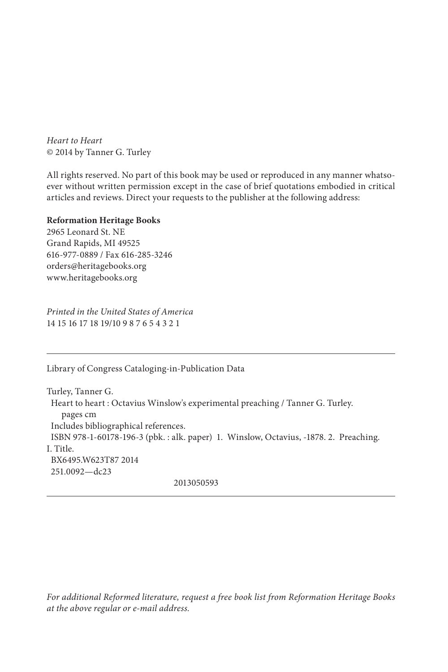*Heart to Heart* © 2014 by Tanner G. Turley

All rights reserved. No part of this book may be used or reproduced in any manner whatsoever without written permission except in the case of brief quotations embodied in critical articles and reviews. Direct your requests to the publisher at the following address:

#### **Reformation Heritage Books**

2965 Leonard St. NE Grand Rapids, MI 49525 616-977-0889 / Fax 616-285-3246 orders@heritagebooks.org www.heritagebooks.org

*Printed in the United States of America* 14 15 16 17 18 19/10 9 8 7 6 5 4 3 2 1

Library of Congress Cataloging-in-Publication Data

Turley, Tanner G. Heart to heart : Octavius Winslow's experimental preaching / Tanner G. Turley. pages cm Includes bibliographical references. ISBN 978-1-60178-196-3 (pbk. : alk. paper) 1. Winslow, Octavius, -1878. 2. Preaching. I. Title. BX6495.W623T87 2014 251.0092—dc23 2013050593

*For additional Reformed literature, request a free book list from Reformation Heritage Books at the above regular or e-mail address.*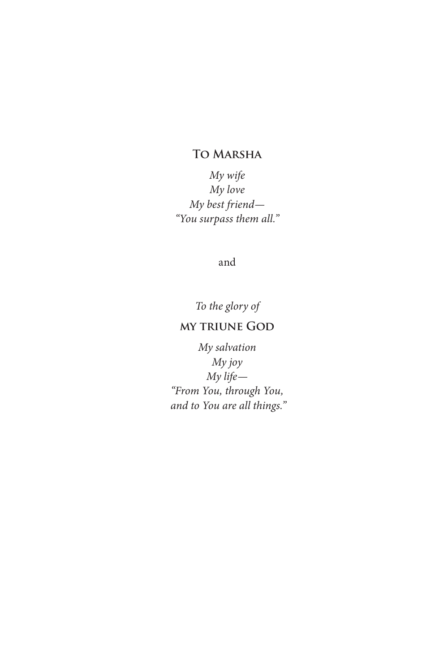## **To Marsha**

*My wife My love My best friend— "You surpass them all."*

and

*To the glory of* 

## **my triune God**

*My salvation My joy My life— "From You, through You, and to You are all things."*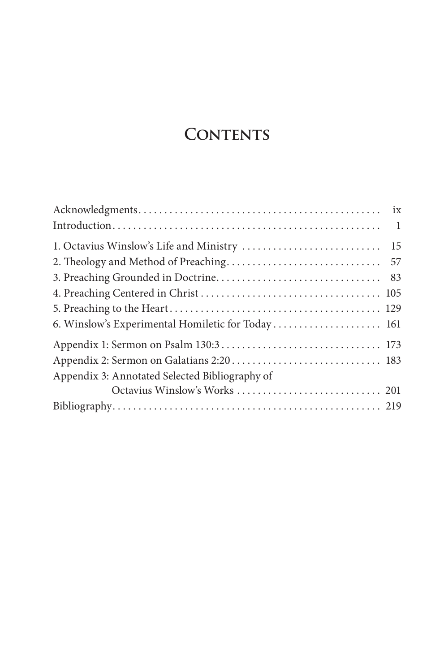# **CONTENTS**

|                                                   | $\overline{1}$ |
|---------------------------------------------------|----------------|
|                                                   |                |
|                                                   |                |
|                                                   |                |
|                                                   |                |
|                                                   |                |
| 6. Winslow's Experimental Homiletic for Today 161 |                |
|                                                   |                |
|                                                   |                |
| Appendix 3: Annotated Selected Bibliography of    |                |
|                                                   |                |
|                                                   |                |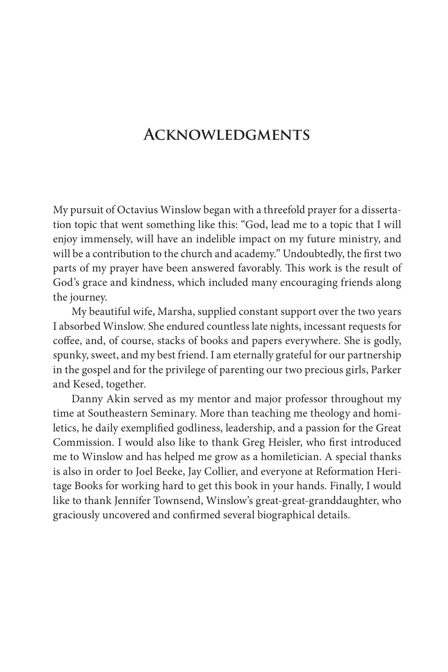# **Acknowledgments**

My pursuit of Octavius Winslow began with a threefold prayer for a dissertation topic that went something like this: "God, lead me to a topic that I will enjoy immensely, will have an indelible impact on my future ministry, and will be a contribution to the church and academy." Undoubtedly, the first two parts of my prayer have been answered favorably. This work is the result of God's grace and kindness, which included many encouraging friends along the journey.

My beautiful wife, Marsha, supplied constant support over the two years I absorbed Winslow. She endured countless late nights, incessant requests for coffee, and, of course, stacks of books and papers everywhere. She is godly, spunky, sweet, and my best friend. I am eternally grateful for our partnership in the gospel and for the privilege of parenting our two precious girls, Parker and Kesed, together.

Danny Akin served as my mentor and major professor throughout my time at Southeastern Seminary. More than teaching me theology and homiletics, he daily exemplified godliness, leadership, and a passion for the Great Commission. I would also like to thank Greg Heisler, who first introduced me to Winslow and has helped me grow as a homiletician. A special thanks is also in order to Joel Beeke, Jay Collier, and everyone at Reformation Heritage Books for working hard to get this book in your hands. Finally, I would like to thank Jennifer Townsend, Winslow's great-great-granddaughter, who graciously uncovered and confirmed several biographical details.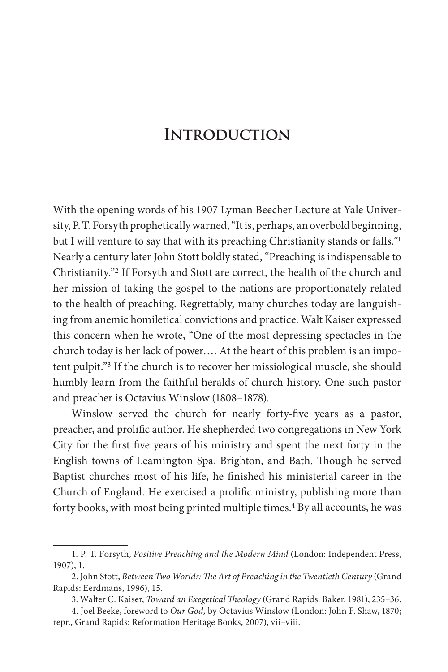# **Introduction**

With the opening words of his 1907 Lyman Beecher Lecture at Yale University, P. T. Forsyth prophetically warned, "It is, perhaps, an overbold beginning, but I will venture to say that with its preaching Christianity stands or falls."<sup>1</sup> Nearly a century later John Stott boldly stated, "Preaching is indispensable to Christianity."2 If Forsyth and Stott are correct, the health of the church and her mission of taking the gospel to the nations are proportionately related to the health of preaching. Regrettably, many churches today are languishing from anemic homiletical convictions and practice. Walt Kaiser expressed this concern when he wrote, "One of the most depressing spectacles in the church today is her lack of power…. At the heart of this problem is an impotent pulpit."3 If the church is to recover her missiological muscle, she should humbly learn from the faithful heralds of church history. One such pastor and preacher is Octavius Winslow (1808–1878).

Winslow served the church for nearly forty-five years as a pastor, preacher, and prolific author. He shepherded two congregations in New York City for the first five years of his ministry and spent the next forty in the English towns of Leamington Spa, Brighton, and Bath. Though he served Baptist churches most of his life, he finished his ministerial career in the Church of England. He exercised a prolific ministry, publishing more than forty books, with most being printed multiple times.<sup>4</sup> By all accounts, he was

<sup>1.</sup> P. T. Forsyth, *Positive Preaching and the Modern Mind* (London: Independent Press, 1907), 1.

<sup>2.</sup> John Stott, *Between Two Worlds: The Art of Preaching in the Twentieth Century* (Grand Rapids: Eerdmans, 1996), 15.

<sup>3.</sup> Walter C. Kaiser, *Toward an Exegetical Theology* (Grand Rapids: Baker, 1981), 235–36.

<sup>4.</sup> Joel Beeke, foreword to *Our God,* by Octavius Winslow (London: John F. Shaw, 1870; repr., Grand Rapids: Reformation Heritage Books, 2007), vii–viii.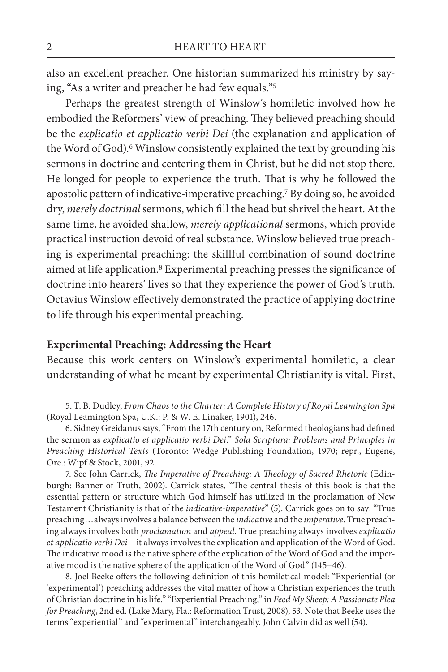also an excellent preacher. One historian summarized his ministry by saying, "As a writer and preacher he had few equals."5

Perhaps the greatest strength of Winslow's homiletic involved how he embodied the Reformers' view of preaching. They believed preaching should be the *explicatio et applicatio verbi Dei* (the explanation and application of the Word of God).<sup>6</sup> Winslow consistently explained the text by grounding his sermons in doctrine and centering them in Christ, but he did not stop there. He longed for people to experience the truth. That is why he followed the apostolic pattern of indicative-imperative preaching.7 By doing so, he avoided dry, *merely doctrinal* sermons, which fill the head but shrivel the heart. At the same time, he avoided shallow, *merely applicational* sermons, which provide practical instruction devoid of real substance. Winslow believed true preaching is experimental preaching: the skillful combination of sound doctrine aimed at life application.8 Experimental preaching presses the significance of doctrine into hearers' lives so that they experience the power of God's truth. Octavius Winslow effectively demonstrated the practice of applying doctrine to life through his experimental preaching.

### **Experimental Preaching: Addressing the Heart**

Because this work centers on Winslow's experimental homiletic, a clear understanding of what he meant by experimental Christianity is vital. First,

7. See John Carrick, *The Imperative of Preaching: A Theology of Sacred Rhetoric* (Edinburgh: Banner of Truth, 2002). Carrick states, "The central thesis of this book is that the essential pattern or structure which God himself has utilized in the proclamation of New Testament Christianity is that of the *indicative-imperative*" (5). Carrick goes on to say: "True preaching…always involves a balance between the *indicative* and the *imperative*. True preaching always involves both *proclamation* and *appeal*. True preaching always involves *explicatio et applicatio verbi Dei*—it always involves the explication and application of the Word of God. The indicative mood is the native sphere of the explication of the Word of God and the imperative mood is the native sphere of the application of the Word of God" (145–46).

8. Joel Beeke offers the following definition of this homiletical model: "Experiential (or 'experimental') preaching addresses the vital matter of how a Christian experiences the truth of Christian doctrine in his life." "Experiential Preaching," in *Feed My Sheep: A Passionate Plea for Preaching*, 2nd ed. (Lake Mary, Fla.: Reformation Trust, 2008), 53. Note that Beeke uses the terms "experiential" and "experimental" interchangeably. John Calvin did as well (54).

<sup>5.</sup> T. B. Dudley, *From Chaos to the Charter: A Complete History of Royal Leamington Spa*  (Royal Leamington Spa, U.K.: P. & W. E. Linaker, 1901), 246.

<sup>6.</sup> Sidney Greidanus says, "From the 17th century on, Reformed theologians had defined the sermon as *explicatio et applicatio verbi Dei*." *Sola Scriptura: Problems and Principles in Preaching Historical Texts* (Toronto: Wedge Publishing Foundation, 1970; repr., Eugene, Ore.: Wipf & Stock, 2001, 92.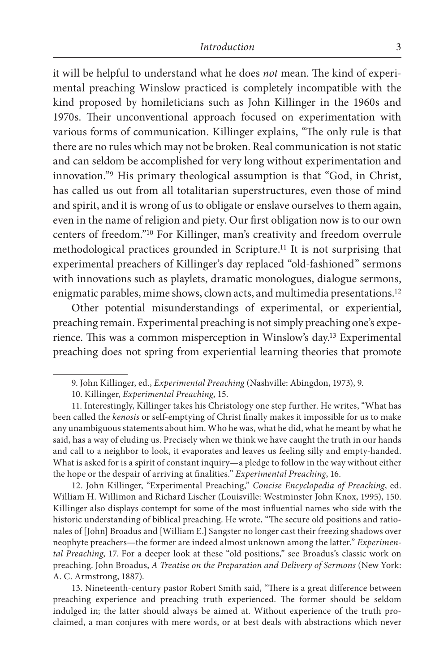it will be helpful to understand what he does *not* mean. The kind of experimental preaching Winslow practiced is completely incompatible with the kind proposed by homileticians such as John Killinger in the 1960s and 1970s. Their unconventional approach focused on experimentation with various forms of communication. Killinger explains, "The only rule is that there are no rules which may not be broken. Real communication is not static and can seldom be accomplished for very long without experimentation and innovation."9 His primary theological assumption is that "God, in Christ, has called us out from all totalitarian superstructures, even those of mind and spirit, and it is wrong of us to obligate or enslave ourselves to them again, even in the name of religion and piety. Our first obligation now is to our own centers of freedom."10 For Killinger, man's creativity and freedom overrule methodological practices grounded in Scripture.11 It is not surprising that experimental preachers of Killinger's day replaced "old-fashioned" sermons with innovations such as playlets, dramatic monologues, dialogue sermons, enigmatic parables, mime shows, clown acts, and multimedia presentations.<sup>12</sup>

Other potential misunderstandings of experimental, or experiential, preaching remain. Experimental preaching is not simply preaching one's experience. This was a common misperception in Winslow's day.13 Experimental preaching does not spring from experiential learning theories that promote

13. Nineteenth-century pastor Robert Smith said, "There is a great difference between preaching experience and preaching truth experienced. The former should be seldom indulged in; the latter should always be aimed at. Without experience of the truth proclaimed, a man conjures with mere words, or at best deals with abstractions which never

<sup>9.</sup> John Killinger, ed., *Experimental Preaching* (Nashville: Abingdon, 1973), 9.

<sup>10.</sup> Killinger, *Experimental Preaching*, 15.

<sup>11.</sup> Interestingly, Killinger takes his Christology one step further. He writes, "What has been called the *kenosis* or self-emptying of Christ finally makes it impossible for us to make any unambiguous statements about him. Who he was, what he did, what he meant by what he said, has a way of eluding us. Precisely when we think we have caught the truth in our hands and call to a neighbor to look, it evaporates and leaves us feeling silly and empty-handed. What is asked for is a spirit of constant inquiry—a pledge to follow in the way without either the hope or the despair of arriving at finalities." *Experimental Preaching*, 16.

<sup>12.</sup> John Killinger, "Experimental Preaching," *Concise Encyclopedia of Preaching*, ed. William H. Willimon and Richard Lischer (Louisville: Westminster John Knox, 1995), 150. Killinger also displays contempt for some of the most influential names who side with the historic understanding of biblical preaching. He wrote, "The secure old positions and rationales of [John] Broadus and [William E.] Sangster no longer cast their freezing shadows over neophyte preachers—the former are indeed almost unknown among the latter." *Experimental Preaching*, 17. For a deeper look at these "old positions," see Broadus's classic work on preaching. John Broadus, *A Treatise on the Preparation and Delivery of Sermons* (New York: A. C. Armstrong, 1887).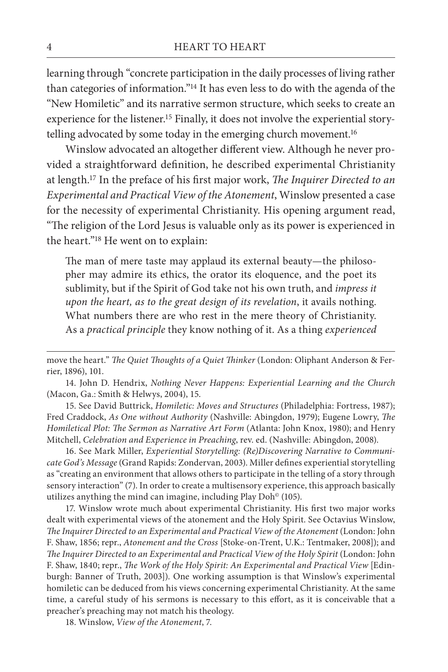learning through "concrete participation in the daily processes of living rather than categories of information."14 It has even less to do with the agenda of the "New Homiletic" and its narrative sermon structure, which seeks to create an experience for the listener.15 Finally, it does not involve the experiential storytelling advocated by some today in the emerging church movement.<sup>16</sup>

Winslow advocated an altogether different view. Although he never provided a straightforward definition, he described experimental Christianity at length.17 In the preface of his first major work, *The Inquirer Directed to an Experimental and Practical View of the Atonement*, Winslow presented a case for the necessity of experimental Christianity. His opening argument read, "The religion of the Lord Jesus is valuable only as its power is experienced in the heart."18 He went on to explain:

The man of mere taste may applaud its external beauty—the philosopher may admire its ethics, the orator its eloquence, and the poet its sublimity, but if the Spirit of God take not his own truth, and *impress it upon the heart, as to the great design of its revelation*, it avails nothing. What numbers there are who rest in the mere theory of Christianity. As a *practical principle* they know nothing of it. As a thing *experienced* 

15. See David Buttrick, *Homiletic: Moves and Structures* (Philadelphia: Fortress, 1987); Fred Craddock, *As One without Authority* (Nashville: Abingdon, 1979); Eugene Lowry, *The Homiletical Plot: The Sermon as Narrative Art Form* (Atlanta: John Knox, 1980); and Henry Mitchell, *Celebration and Experience in Preaching*, rev. ed. (Nashville: Abingdon, 2008).

16. See Mark Miller, *Experiential Storytelling: (Re)Discovering Narrative to Communicate God's Message* (Grand Rapids: Zondervan, 2003). Miller defines experiential storytelling as "creating an environment that allows others to participate in the telling of a story through sensory interaction" (7). In order to create a multisensory experience, this approach basically utilizes anything the mind can imagine, including Play Doh $^{\circ}$  (105).

17. Winslow wrote much about experimental Christianity. His first two major works dealt with experimental views of the atonement and the Holy Spirit. See Octavius Winslow, *The Inquirer Directed to an Experimental and Practical View of the Atonement* (London: John F. Shaw, 1856; repr., *Atonement and the Cross* [Stoke-on-Trent, U.K.: Tentmaker, 2008]); and *The Inquirer Directed to an Experimental and Practical View of the Holy Spirit* (London: John F. Shaw, 1840; repr., *The Work of the Holy Spirit: An Experimental and Practical View* [Edinburgh: Banner of Truth, 2003]). One working assumption is that Winslow's experimental homiletic can be deduced from his views concerning experimental Christianity. At the same time, a careful study of his sermons is necessary to this effort, as it is conceivable that a preacher's preaching may not match his theology.

18. Winslow, *View of the Atonement*, 7.

move the heart." *The Quiet Thoughts of a Quiet Thinker* (London: Oliphant Anderson & Ferrier, 1896), 101.

<sup>14.</sup> John D. Hendrix, *Nothing Never Happens: Experiential Learning and the Church*  (Macon, Ga.: Smith & Helwys, 2004), 15.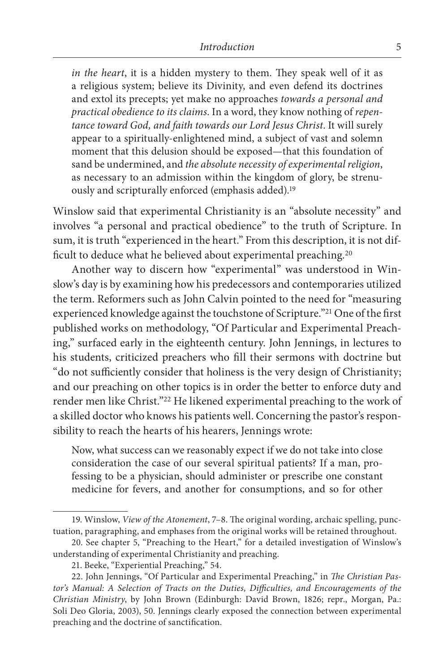*in the heart*, it is a hidden mystery to them. They speak well of it as a religious system; believe its Divinity, and even defend its doctrines and extol its precepts; yet make no approaches *towards a personal and practical obedience to its claims*. In a word, they know nothing of *repentance toward God, and faith towards our Lord Jesus Christ*. It will surely appear to a spiritually-enlightened mind, a subject of vast and solemn moment that this delusion should be exposed—that this foundation of sand be undermined, and *the absolute necessity of experimental religion*, as necessary to an admission within the kingdom of glory, be strenuously and scripturally enforced (emphasis added).19

Winslow said that experimental Christianity is an "absolute necessity" and involves "a personal and practical obedience" to the truth of Scripture. In sum, it is truth "experienced in the heart." From this description, it is not difficult to deduce what he believed about experimental preaching.20

Another way to discern how "experimental" was understood in Winslow's day is by examining how his predecessors and contemporaries utilized the term. Reformers such as John Calvin pointed to the need for "measuring experienced knowledge against the touchstone of Scripture."21 One of the first published works on methodology, "Of Particular and Experimental Preaching," surfaced early in the eighteenth century. John Jennings, in lectures to his students, criticized preachers who fill their sermons with doctrine but "do not sufficiently consider that holiness is the very design of Christianity; and our preaching on other topics is in order the better to enforce duty and render men like Christ."22 He likened experimental preaching to the work of a skilled doctor who knows his patients well. Concerning the pastor's responsibility to reach the hearts of his hearers, Jennings wrote:

Now, what success can we reasonably expect if we do not take into close consideration the case of our several spiritual patients? If a man, professing to be a physician, should administer or prescribe one constant medicine for fevers, and another for consumptions, and so for other

<sup>19.</sup> Winslow, *View of the Atonement*, 7–8. The original wording, archaic spelling, punctuation, paragraphing, and emphases from the original works will be retained throughout.

<sup>20.</sup> See chapter 5, "Preaching to the Heart," for a detailed investigation of Winslow's understanding of experimental Christianity and preaching.

<sup>21.</sup> Beeke, "Experiential Preaching," 54.

<sup>22.</sup> John Jennings, "Of Particular and Experimental Preaching," in *The Christian Pastor's Manual: A Selection of Tracts on the Duties, Difficulties, and Encouragements of the Christian Ministry*, by John Brown (Edinburgh: David Brown, 1826; repr., Morgan, Pa.: Soli Deo Gloria, 2003), 50. Jennings clearly exposed the connection between experimental preaching and the doctrine of sanctification.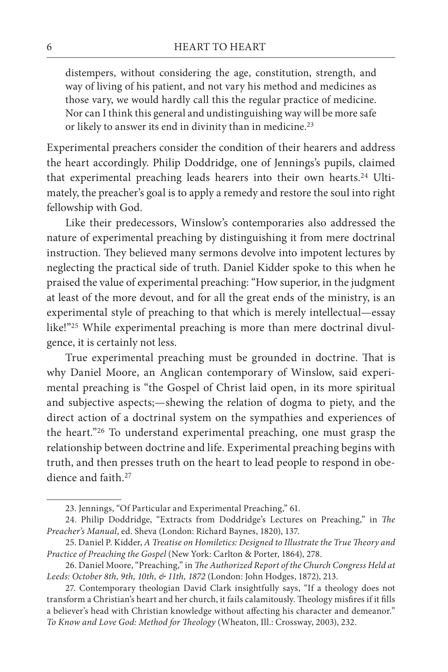distempers, without considering the age, constitution, strength, and way of living of his patient, and not vary his method and medicines as those vary, we would hardly call this the regular practice of medicine. Nor can I think this general and undistinguishing way will be more safe or likely to answer its end in divinity than in medicine.23

Experimental preachers consider the condition of their hearers and address the heart accordingly. Philip Doddridge, one of Jennings's pupils, claimed that experimental preaching leads hearers into their own hearts.<sup>24</sup> Ultimately, the preacher's goal is to apply a remedy and restore the soul into right fellowship with God.

Like their predecessors, Winslow's contemporaries also addressed the nature of experimental preaching by distinguishing it from mere doctrinal instruction. They believed many sermons devolve into impotent lectures by neglecting the practical side of truth. Daniel Kidder spoke to this when he praised the value of experimental preaching: "How superior, in the judgment at least of the more devout, and for all the great ends of the ministry, is an experimental style of preaching to that which is merely intellectual—essay like!"25 While experimental preaching is more than mere doctrinal divulgence, it is certainly not less.

True experimental preaching must be grounded in doctrine. That is why Daniel Moore, an Anglican contemporary of Winslow, said experimental preaching is "the Gospel of Christ laid open, in its more spiritual and subjective aspects;—shewing the relation of dogma to piety, and the direct action of a doctrinal system on the sympathies and experiences of the heart."26 To understand experimental preaching, one must grasp the relationship between doctrine and life. Experimental preaching begins with truth, and then presses truth on the heart to lead people to respond in obedience and faith.27

<sup>23.</sup> Jennings, "Of Particular and Experimental Preaching," 61.

<sup>24.</sup> Philip Doddridge, "Extracts from Doddridge's Lectures on Preaching," in *The Preacher's Manual*, ed. Sheva (London: Richard Baynes, 1820), 137.

<sup>25.</sup> Daniel P. Kidder, *A Treatise on Homiletics: Designed to Illustrate the True Theory and Practice of Preaching the Gospel* (New York: Carlton & Porter, 1864), 278.

<sup>26.</sup> Daniel Moore, "Preaching," in *The Authorized Report of the Church Congress Held at Leeds: October 8th, 9th, 10th, & 11th, 1872* (London: John Hodges, 1872), 213.

<sup>27.</sup> Contemporary theologian David Clark insightfully says, "If a theology does not transform a Christian's heart and her church, it fails calamitously. Theology misfires if it fills a believer's head with Christian knowledge without affecting his character and demeanor." *To Know and Love God: Method for Theology* (Wheaton, Ill.: Crossway, 2003), 232.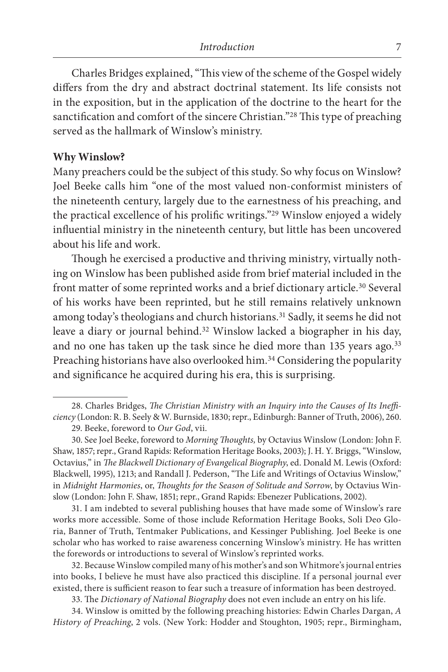Charles Bridges explained, "This view of the scheme of the Gospel widely differs from the dry and abstract doctrinal statement. Its life consists not in the exposition, but in the application of the doctrine to the heart for the sanctification and comfort of the sincere Christian."28 This type of preaching served as the hallmark of Winslow's ministry.

#### **Why Winslow?**

Many preachers could be the subject of this study. So why focus on Winslow? Joel Beeke calls him "one of the most valued non-conformist ministers of the nineteenth century, largely due to the earnestness of his preaching, and the practical excellence of his prolific writings."29 Winslow enjoyed a widely influential ministry in the nineteenth century, but little has been uncovered about his life and work.

Though he exercised a productive and thriving ministry, virtually nothing on Winslow has been published aside from brief material included in the front matter of some reprinted works and a brief dictionary article.<sup>30</sup> Several of his works have been reprinted, but he still remains relatively unknown among today's theologians and church historians.31 Sadly, it seems he did not leave a diary or journal behind.32 Winslow lacked a biographer in his day, and no one has taken up the task since he died more than 135 years ago.<sup>33</sup> Preaching historians have also overlooked him.<sup>34</sup> Considering the popularity and significance he acquired during his era, this is surprising.

31. I am indebted to several publishing houses that have made some of Winslow's rare works more accessible. Some of those include Reformation Heritage Books, Soli Deo Gloria, Banner of Truth, Tentmaker Publications, and Kessinger Publishing. Joel Beeke is one scholar who has worked to raise awareness concerning Winslow's ministry. He has written the forewords or introductions to several of Winslow's reprinted works.

32. Because Winslow compiled many of his mother's and son Whitmore's journal entries into books, I believe he must have also practiced this discipline. If a personal journal ever existed, there is sufficient reason to fear such a treasure of information has been destroyed.

33. The *Dictionary of National Biography* does not even include an entry on his life.

34. Winslow is omitted by the following preaching histories: Edwin Charles Dargan, *A History of Preaching*, 2 vols. (New York: Hodder and Stoughton, 1905; repr., Birmingham,

<sup>28.</sup> Charles Bridges, *The Christian Ministry with an Inquiry into the Causes of Its Inefficiency* (London: R. B. Seely & W. Burnside, 1830; repr., Edinburgh: Banner of Truth, 2006), 260.

<sup>29.</sup> Beeke, foreword to *Our God*, vii.

<sup>30.</sup> See Joel Beeke, foreword to *Morning Thoughts,* by Octavius Winslow (London: John F. Shaw, 1857; repr., Grand Rapids: Reformation Heritage Books, 2003); J. H. Y. Briggs, "Winslow, Octavius," in *The Blackwell Dictionary of Evangelical Biography*, ed. Donald M. Lewis (Oxford: Blackwell, 1995), 1213; and Randall J. Pederson, "The Life and Writings of Octavius Winslow," in *Midnight Harmonies*, or, *Thoughts for the Season of Solitude and Sorrow*, by Octavius Winslow (London: John F. Shaw, 1851; repr., Grand Rapids: Ebenezer Publications, 2002).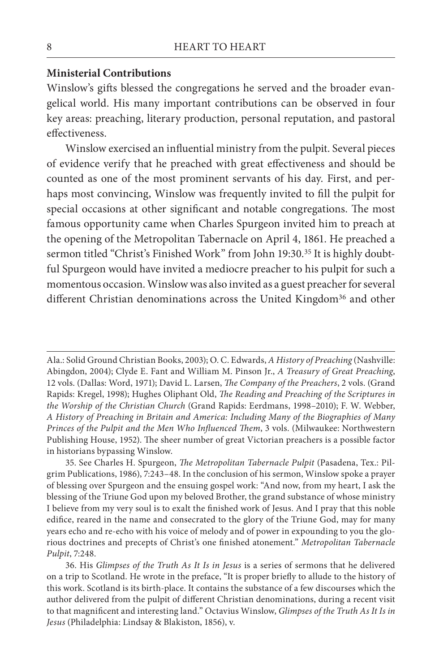#### **Ministerial Contributions**

Winslow's gifts blessed the congregations he served and the broader evangelical world. His many important contributions can be observed in four key areas: preaching, literary production, personal reputation, and pastoral effectiveness.

Winslow exercised an influential ministry from the pulpit. Several pieces of evidence verify that he preached with great effectiveness and should be counted as one of the most prominent servants of his day. First, and perhaps most convincing, Winslow was frequently invited to fill the pulpit for special occasions at other significant and notable congregations. The most famous opportunity came when Charles Spurgeon invited him to preach at the opening of the Metropolitan Tabernacle on April 4, 1861. He preached a sermon titled "Christ's Finished Work" from John 19:30.<sup>35</sup> It is highly doubtful Spurgeon would have invited a mediocre preacher to his pulpit for such a momentous occasion. Winslow was also invited as a guest preacher for several different Christian denominations across the United Kingdom<sup>36</sup> and other

Ala.: Solid Ground Christian Books, 2003); O. C. Edwards, *A History of Preaching* (Nashville: Abingdon, 2004); Clyde E. Fant and William M. Pinson Jr., *A Treasury of Great Preaching*, 12 vols. (Dallas: Word, 1971); David L. Larsen, *The Company of the Preachers*, 2 vols. (Grand Rapids: Kregel, 1998); Hughes Oliphant Old, *The Reading and Preaching of the Scriptures in the Worship of the Christian Church* (Grand Rapids: Eerdmans, 1998–2010); F. W. Webber, *A History of Preaching in Britain and America: Including Many of the Biographies of Many Princes of the Pulpit and the Men Who Influenced Them*, 3 vols. (Milwaukee: Northwestern Publishing House, 1952). The sheer number of great Victorian preachers is a possible factor in historians bypassing Winslow.

<sup>35.</sup> See Charles H. Spurgeon, *The Metropolitan Tabernacle Pulpit* (Pasadena, Tex.: Pilgrim Publications, 1986), 7:243–48. In the conclusion of his sermon, Winslow spoke a prayer of blessing over Spurgeon and the ensuing gospel work: "And now, from my heart, I ask the blessing of the Triune God upon my beloved Brother, the grand substance of whose ministry I believe from my very soul is to exalt the finished work of Jesus. And I pray that this noble edifice, reared in the name and consecrated to the glory of the Triune God, may for many years echo and re-echo with his voice of melody and of power in expounding to you the glorious doctrines and precepts of Christ's one finished atonement." *Metropolitan Tabernacle Pulpit*, 7:248.

<sup>36.</sup> His *Glimpses of the Truth As It Is in Jesus* is a series of sermons that he delivered on a trip to Scotland. He wrote in the preface, "It is proper briefly to allude to the history of this work. Scotland is its birth-place. It contains the substance of a few discourses which the author delivered from the pulpit of different Christian denominations, during a recent visit to that magnificent and interesting land." Octavius Winslow, *Glimpses of the Truth As It Is in Jesus* (Philadelphia: Lindsay & Blakiston, 1856), v.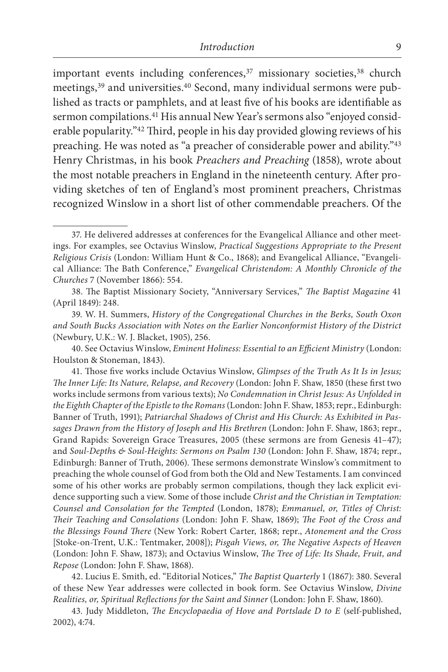important events including conferences,<sup>37</sup> missionary societies,<sup>38</sup> church meetings,39 and universities.40 Second, many individual sermons were published as tracts or pamphlets, and at least five of his books are identifiable as sermon compilations.<sup>41</sup> His annual New Year's sermons also "enjoyed considerable popularity."42 Third, people in his day provided glowing reviews of his preaching. He was noted as "a preacher of considerable power and ability."43 Henry Christmas, in his book *Preachers and Preaching* (1858), wrote about the most notable preachers in England in the nineteenth century. After providing sketches of ten of England's most prominent preachers, Christmas recognized Winslow in a short list of other commendable preachers. Of the

40. See Octavius Winslow, *Eminent Holiness: Essential to an Efficient Ministry* (London: Houlston & Stoneman, 1843).

41. Those five works include Octavius Winslow, *Glimpses of the Truth As It Is in Jesus; The Inner Life: Its Nature, Relapse, and Recovery* (London: John F. Shaw, 1850 (these first two works include sermons from various texts); *No Condemnation in Christ Jesus: As Unfolded in the Eighth Chapter of the Epistle to the Romans* (London: John F. Shaw, 1853; repr., Edinburgh: Banner of Truth, 1991); *Patriarchal Shadows of Christ and His Church: As Exhibited in Passages Drawn from the History of Joseph and His Brethren* (London: John F. Shaw, 1863; repr., Grand Rapids: Sovereign Grace Treasures, 2005 (these sermons are from Genesis 41–47); and *Soul-Depth*s *& Soul-Heights: Sermons on Psalm 130* (London: John F. Shaw, 1874; repr., Edinburgh: Banner of Truth, 2006). These sermons demonstrate Winslow's commitment to preaching the whole counsel of God from both the Old and New Testaments. I am convinced some of his other works are probably sermon compilations, though they lack explicit evidence supporting such a view. Some of those include *Christ and the Christian in Temptation: Counsel and Consolation for the Tempted* (London, 1878); *Emmanuel, or, Titles of Christ: Their Teaching and Consolations* (London: John F. Shaw, 1869); *The Foot of the Cross and the Blessings Found There* (New York: Robert Carter, 1868; repr., *Atonement and the Cross* [Stoke-on-Trent, U.K.: Tentmaker, 2008]); *Pisgah Views, or, The Negative Aspects of Heaven* (London: John F. Shaw, 1873); and Octavius Winslow, *The Tree of Life: Its Shade, Fruit, and Repose* (London: John F. Shaw, 1868).

42. Lucius E. Smith, ed. "Editorial Notices," *The Baptist Quarterly* 1 (1867): 380. Several of these New Year addresses were collected in book form. See Octavius Winslow, *Divine Realities, or, Spiritual Reflections for the Saint and Sinner* (London: John F. Shaw, 1860).

43. Judy Middleton, *The Encyclopaedia of Hove and Portslade D to E* (self-published, 2002), 4:74.

<sup>37.</sup> He delivered addresses at conferences for the Evangelical Alliance and other meetings. For examples, see Octavius Winslow, *Practical Suggestions Appropriate to the Present Religious Crisis* (London: William Hunt & Co., 1868); and Evangelical Alliance, "Evangelical Alliance: The Bath Conference," *Evangelical Christendom: A Monthly Chronicle of the Churches* 7 (November 1866): 554.

<sup>38.</sup> The Baptist Missionary Society, "Anniversary Services," *The Baptist Magazine* 41 (April 1849): 248.

<sup>39.</sup> W. H. Summers, *History of the Congregational Churches in the Berks, South Oxon and South Bucks Association with Notes on the Earlier Nonconformist History of the District* (Newbury, U.K.: W. J. Blacket, 1905), 256.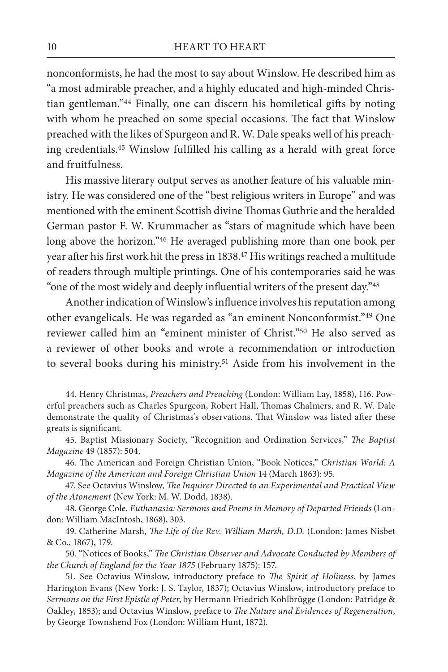nonconformists, he had the most to say about Winslow. He described him as "a most admirable preacher, and a highly educated and high-minded Christian gentleman."44 Finally, one can discern his homiletical gifts by noting with whom he preached on some special occasions. The fact that Winslow preached with the likes of Spurgeon and R. W. Dale speaks well of his preaching credentials.45 Winslow fulfilled his calling as a herald with great force and fruitfulness.

His massive literary output serves as another feature of his valuable ministry. He was considered one of the "best religious writers in Europe" and was mentioned with the eminent Scottish divine Thomas Guthrie and the heralded German pastor F. W. Krummacher as "stars of magnitude which have been long above the horizon."46 He averaged publishing more than one book per year after his first work hit the press in 1838.47 His writings reached a multitude of readers through multiple printings. One of his contemporaries said he was "one of the most widely and deeply influential writers of the present day."<sup>48</sup>

Another indication of Winslow's influence involves his reputation among other evangelicals. He was regarded as "an eminent Nonconformist."49 One reviewer called him an "eminent minister of Christ."50 He also served as a reviewer of other books and wrote a recommendation or introduction to several books during his ministry.51 Aside from his involvement in the

<sup>44.</sup> Henry Christmas, *Preachers and Preaching* (London: William Lay, 1858), 116. Powerful preachers such as Charles Spurgeon, Robert Hall, Thomas Chalmers, and R. W. Dale demonstrate the quality of Christmas's observations. That Winslow was listed after these greats is significant.

<sup>45.</sup> Baptist Missionary Society, "Recognition and Ordination Services," *The Baptist Magazine* 49 (1857): 504.

<sup>46.</sup> The American and Foreign Christian Union, "Book Notices," *Christian World: A Magazine of the American and Foreign Christian Union* 14 (March 1863): 95.

<sup>47.</sup> See Octavius Winslow, *The Inquirer Directed to an Experimental and Practical View of the Atonement* (New York: M. W. Dodd, 1838).

<sup>48.</sup> George Cole, *Euthanasia: Sermons and Poems in Memory of Departed Friends* (London: William MacIntosh, 1868), 303.

<sup>49.</sup> Catherine Marsh, *The Life of the Rev. William Marsh, D.D.* (London: James Nisbet & Co., 1867), 179.

<sup>50. &</sup>quot;Notices of Books," *The Christian Observer and Advocate Conducted by Members of the Church of England for the Year 1875* (February 1875): 157.

<sup>51.</sup> See Octavius Winslow, introductory preface to *The Spirit of Holiness*, by James Harington Evans (New York: J. S. Taylor, 1837); Octavius Winslow, introductory preface to *Sermons on the First Epistle of Peter*, by Hermann Friedrich Kohlbrügge (London: Patridge & Oakley, 1853); and Octavius Winslow, preface to *The Nature and Evidences of Regeneration*, by George Townshend Fox (London: William Hunt, 1872).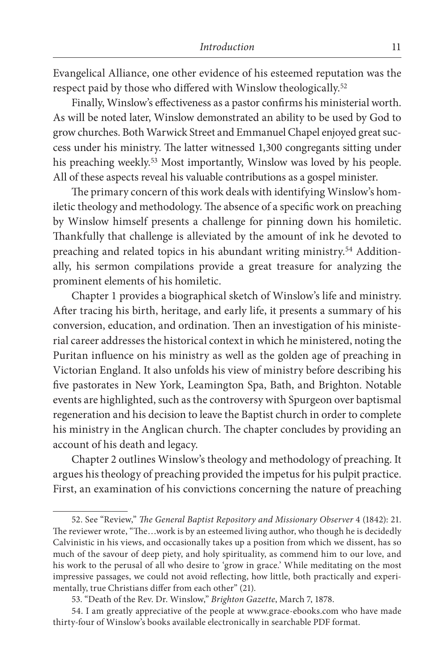Evangelical Alliance, one other evidence of his esteemed reputation was the respect paid by those who differed with Winslow theologically.52

Finally, Winslow's effectiveness as a pastor confirms his ministerial worth. As will be noted later, Winslow demonstrated an ability to be used by God to grow churches. Both Warwick Street and Emmanuel Chapel enjoyed great success under his ministry. The latter witnessed 1,300 congregants sitting under his preaching weekly.<sup>53</sup> Most importantly, Winslow was loved by his people. All of these aspects reveal his valuable contributions as a gospel minister.

The primary concern of this work deals with identifying Winslow's homiletic theology and methodology. The absence of a specific work on preaching by Winslow himself presents a challenge for pinning down his homiletic. Thankfully that challenge is alleviated by the amount of ink he devoted to preaching and related topics in his abundant writing ministry.54 Additionally, his sermon compilations provide a great treasure for analyzing the prominent elements of his homiletic.

Chapter 1 provides a biographical sketch of Winslow's life and ministry. After tracing his birth, heritage, and early life, it presents a summary of his conversion, education, and ordination. Then an investigation of his ministerial career addresses the historical context in which he ministered, noting the Puritan influence on his ministry as well as the golden age of preaching in Victorian England. It also unfolds his view of ministry before describing his five pastorates in New York, Leamington Spa, Bath, and Brighton. Notable events are highlighted, such as the controversy with Spurgeon over baptismal regeneration and his decision to leave the Baptist church in order to complete his ministry in the Anglican church. The chapter concludes by providing an account of his death and legacy.

Chapter 2 outlines Winslow's theology and methodology of preaching. It argues his theology of preaching provided the impetus for his pulpit practice. First, an examination of his convictions concerning the nature of preaching

<sup>52.</sup> See "Review," *The General Baptist Repository and Missionary Observer* 4 (1842): 21. The reviewer wrote, "The…work is by an esteemed living author, who though he is decidedly Calvinistic in his views, and occasionally takes up a position from which we dissent, has so much of the savour of deep piety, and holy spirituality, as commend him to our love, and his work to the perusal of all who desire to 'grow in grace.' While meditating on the most impressive passages, we could not avoid reflecting, how little, both practically and experimentally, true Christians differ from each other" (21).

<sup>53. &</sup>quot;Death of the Rev. Dr. Winslow," *Brighton Gazette*, March 7, 1878.

<sup>54.</sup> I am greatly appreciative of the people at www.grace-ebooks.com who have made thirty-four of Winslow's books available electronically in searchable PDF format.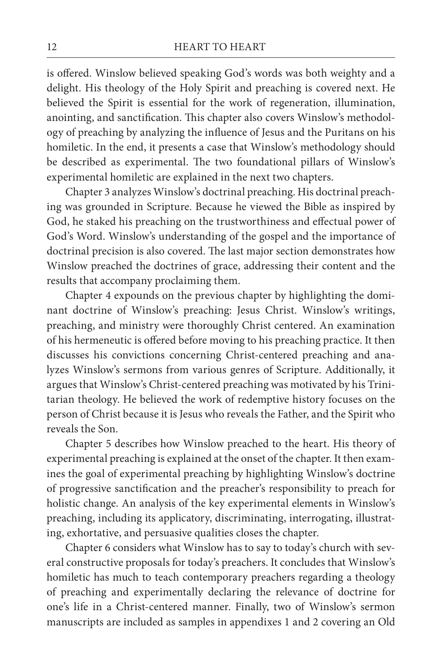is offered. Winslow believed speaking God's words was both weighty and a delight. His theology of the Holy Spirit and preaching is covered next. He believed the Spirit is essential for the work of regeneration, illumination, anointing, and sanctification. This chapter also covers Winslow's methodology of preaching by analyzing the influence of Jesus and the Puritans on his homiletic. In the end, it presents a case that Winslow's methodology should be described as experimental. The two foundational pillars of Winslow's experimental homiletic are explained in the next two chapters.

Chapter 3 analyzes Winslow's doctrinal preaching. His doctrinal preaching was grounded in Scripture. Because he viewed the Bible as inspired by God, he staked his preaching on the trustworthiness and effectual power of God's Word. Winslow's understanding of the gospel and the importance of doctrinal precision is also covered. The last major section demonstrates how Winslow preached the doctrines of grace, addressing their content and the results that accompany proclaiming them.

Chapter 4 expounds on the previous chapter by highlighting the dominant doctrine of Winslow's preaching: Jesus Christ. Winslow's writings, preaching, and ministry were thoroughly Christ centered. An examination of his hermeneutic is offered before moving to his preaching practice. It then discusses his convictions concerning Christ-centered preaching and analyzes Winslow's sermons from various genres of Scripture. Additionally, it argues that Winslow's Christ-centered preaching was motivated by his Trinitarian theology. He believed the work of redemptive history focuses on the person of Christ because it is Jesus who reveals the Father, and the Spirit who reveals the Son.

Chapter 5 describes how Winslow preached to the heart. His theory of experimental preaching is explained at the onset of the chapter. It then examines the goal of experimental preaching by highlighting Winslow's doctrine of progressive sanctification and the preacher's responsibility to preach for holistic change. An analysis of the key experimental elements in Winslow's preaching, including its applicatory, discriminating, interrogating, illustrating, exhortative, and persuasive qualities closes the chapter.

Chapter 6 considers what Winslow has to say to today's church with several constructive proposals for today's preachers. It concludes that Winslow's homiletic has much to teach contemporary preachers regarding a theology of preaching and experimentally declaring the relevance of doctrine for one's life in a Christ-centered manner. Finally, two of Winslow's sermon manuscripts are included as samples in appendixes 1 and 2 covering an Old